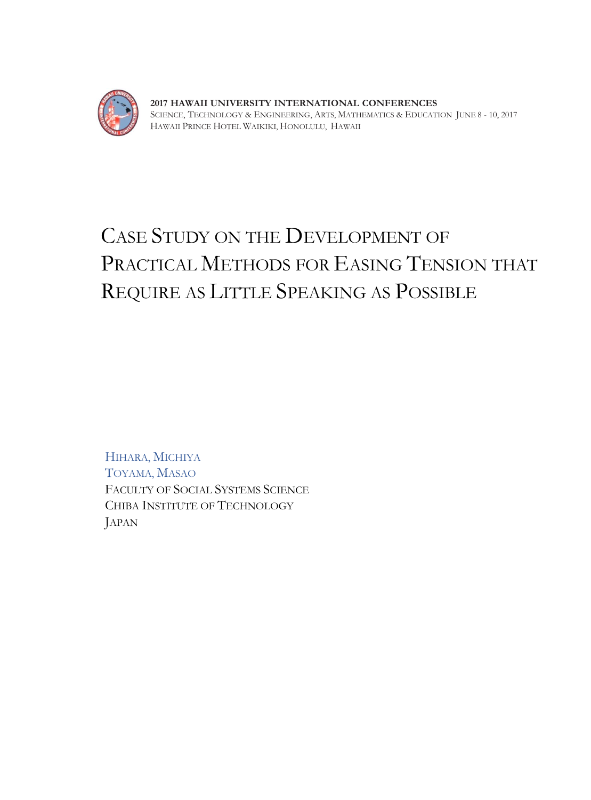

**2017 HAWAII UNIVERSITY INTERNATIONAL CONFERENCES**  SCIENCE, TECHNOLOGY & ENGINEERING, ARTS, MATHEMATICS & EDUCATION JUNE 8 - 10, 2017 HAWAII PRINCE HOTEL WAIKIKI, HONOLULU, HAWAII

## CASE STUDY ON THE DEVELOPMENT OF PRACTICAL METHODS FOR EASING TENSION THAT REQUIRE AS LITTLE SPEAKING AS POSSIBLE

HIHARA, MICHIYA TOYAMA, MASAO FACULTY OF SOCIAL SYSTEMS SCIENCE CHIBA INSTITUTE OF TECHNOLOGY JAPAN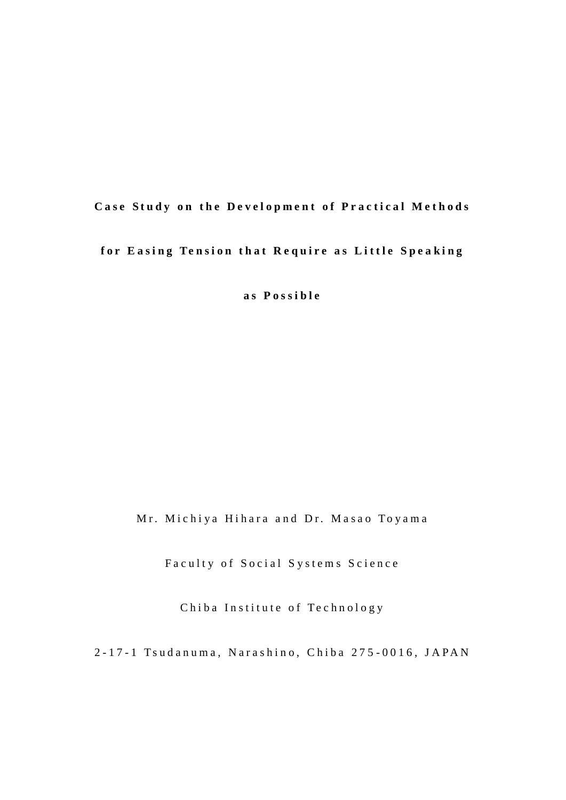## **Case Study on the Development of Practical Methods**

## for Easing Tension that Require as Little Speaking

**a s P o s s i b l e**

Mr. Michiya Hihara and Dr. Masao Toyama

Faculty of Social Systems Science

Chiba Institute of Technology

2-17-1 Tsudanuma, Narashino, Chiba 275-0016, JAPAN